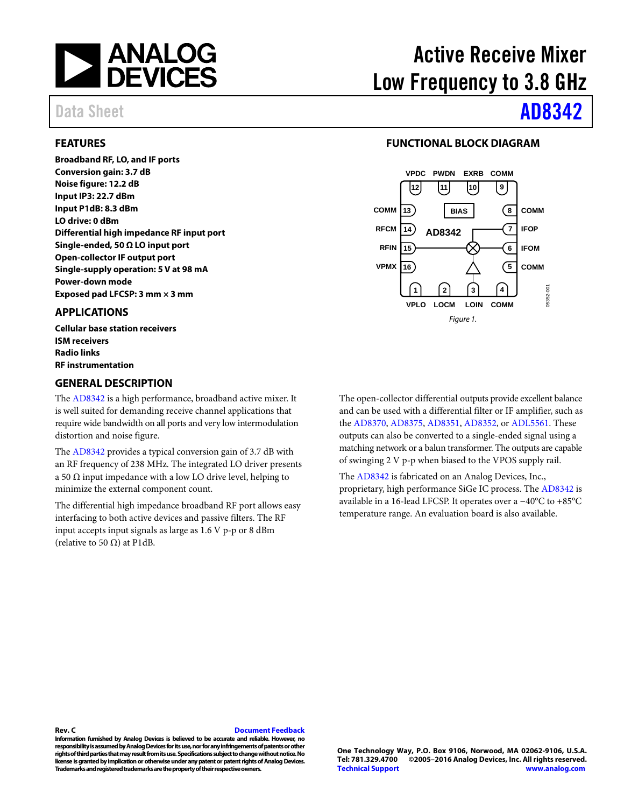

## <span id="page-0-0"></span>**FEATURES**

**Broadband RF, LO, and IF ports Conversion gain: 3.7 dB Noise figure: 12.2 dB Input IP3: 22.7 dBm Input P1dB: 8.3 dBm LO drive: 0 dBm Differential high impedance RF input port Single-ended, 50 Ω LO input port Open-collector IF output port Single-supply operation: 5 V at 98 mA Power-down mode Exposed pad LFCSP: 3 mm × 3 mm**

### <span id="page-0-1"></span>**APPLICATIONS**

**Cellular base station receivers ISM receivers Radio links RF instrumentation**

### <span id="page-0-3"></span>**GENERAL DESCRIPTION**

The [AD8342](http://www.analog.com/AD8342?doc=AD8342.pdf) is a high performance, broadband active mixer. It is well suited for demanding receive channel applications that require wide bandwidth on all ports and very low intermodulation distortion and noise figure.

The [AD8342](http://www.analog.com/AD8342?doc=AD8342.pdf) provides a typical conversion gain of 3.7 dB with an RF frequency of 238 MHz. The integrated LO driver presents a 50  $\Omega$  input impedance with a low LO drive level, helping to minimize the external component count.

The differential high impedance broadband RF port allows easy interfacing to both active devices and passive filters. The RF input accepts input signals as large as 1.6 V p-p or 8 dBm (relative to 50  $\Omega$ ) at P1dB.

# Active Receive Mixer Low Frequency to 3.8 GHz

## Data Sheet **[AD8342](http://www.analog.com/AD8342?doc=AD8342.pdf)**

## **FUNCTIONAL BLOCK DIAGRAM**

<span id="page-0-2"></span>

The open-collector differential outputs provide excellent balance and can be used with a differential filter or IF amplifier, such as the [AD8370,](http://www.analog.com/ad8370?doc=AD8342.pdf) [AD8375,](http://www.analog.com/AD8375?doc=AD8342.pdf) [AD8351,](http://www.analog.com/ad8351?doc=AD8342.pdf) [AD8352,](http://www.analog.com/ad8352?doc=AD8342.pdf) or [ADL5561.](http://www.analog.com/ADL5561?doc=AD8342.pdf) These outputs can also be converted to a single-ended signal using a matching network or a balun transformer. The outputs are capable of swinging 2 V p-p when biased to the VPOS supply rail.

The [AD8342](http://www.analog.com/AD8342?doc=AD8342.pdf) is fabricated on an Analog Devices, Inc., proprietary, high performance SiGe IC process. Th[e AD8342](http://www.analog.com/AD8342?doc=AD8342.pdf) is available in a 16-lead LFCSP. It operates over a −40°C to +85°C temperature range. An evaluation board is also available.

### **Rev. C [Document Feedback](https://form.analog.com/Form_Pages/feedback/documentfeedback.aspx?doc=AD8342.pdf&product=AD8342&rev=C)**

**Information furnished by Analog Devices is believed to be accurate and reliable. However, no responsibility is assumed by Analog Devices for its use, nor for any infringements of patents or other rights of third parties that may result from its use. Specifications subject to change without notice. No license is granted by implication or otherwise under any patent or patent rights of Analog Devices. Trademarks and registered trademarks are the property of their respective owners.**

**One Technology Way, P.O. Box 9106, Norwood, MA 02062-9106, U.S.A. Tel: 781.329.4700 ©2005–2016 Analog Devices, Inc. All rights reserved. [Technical Support](http://www.analog.com/en/content/technical_support_page/fca.html) [www.analog.com](http://www.analog.com/)**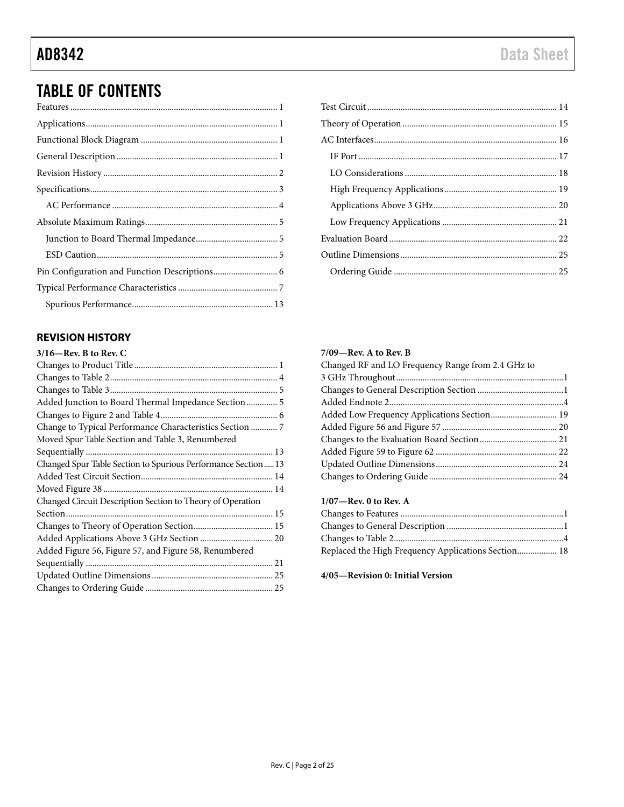## TABLE OF CONTENTS

## <span id="page-1-0"></span>**REVISION HISTORY**

| $3/16$ —Rev. B to Rev. C                                       |  |
|----------------------------------------------------------------|--|
|                                                                |  |
|                                                                |  |
|                                                                |  |
| Added Junction to Board Thermal Impedance Section 5            |  |
|                                                                |  |
| Change to Typical Performance Characteristics Section  7       |  |
| Moved Spur Table Section and Table 3, Renumbered               |  |
|                                                                |  |
| Changed Spur Table Section to Spurious Performance Section  13 |  |
|                                                                |  |
|                                                                |  |
| Changed Circuit Description Section to Theory of Operation     |  |
|                                                                |  |
|                                                                |  |
|                                                                |  |
| Added Figure 56, Figure 57, and Figure 58, Renumbered          |  |
|                                                                |  |
|                                                                |  |
|                                                                |  |
|                                                                |  |

### **7/09—Rev. A to Rev. B**

| Changed RF and LO Frequency Range from 2.4 GHz to |  |
|---------------------------------------------------|--|
|                                                   |  |
|                                                   |  |
|                                                   |  |
|                                                   |  |
|                                                   |  |
|                                                   |  |
|                                                   |  |
|                                                   |  |
|                                                   |  |
|                                                   |  |

### **1/07—Rev. 0 to Rev. A**

| Replaced the High Frequency Applications Section 18 |  |
|-----------------------------------------------------|--|

**4/05—Revision 0: Initial Version**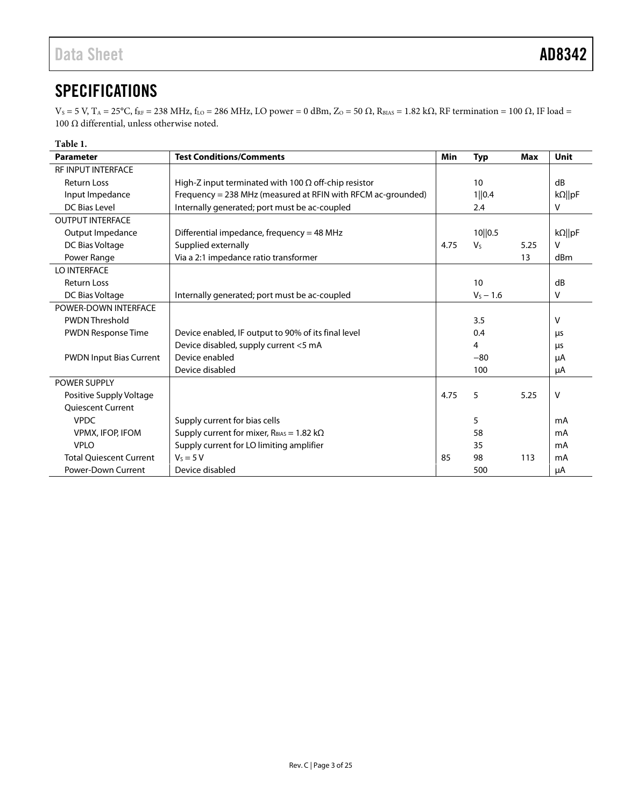## <span id="page-2-0"></span>**SPECIFICATIONS**

 $V_S$  = 5 V, T<sub>A</sub> = 25°C, f<sub>RF</sub> = 238 MHz, f<sub>LO</sub> = 286 MHz, LO power = 0 dBm, Z<sub>O</sub> = 50 Ω, R<sub>BIAS</sub> = 1.82 kΩ, RF termination = 100 Ω, IF load = 100 Ω differential, unless otherwise noted.

### <span id="page-2-1"></span>**Table 1.**

| <b>Parameter</b>                                                           | <b>Test Conditions/Comments</b>                              |             |         | <b>Max</b> | Unit           |
|----------------------------------------------------------------------------|--------------------------------------------------------------|-------------|---------|------------|----------------|
| <b>RF INPUT INTERFACE</b>                                                  |                                                              |             |         |            |                |
| <b>Return Loss</b>                                                         |                                                              | 10          |         | dB         |                |
| Input Impedance                                                            | Frequency = 238 MHz (measured at RFIN with RFCM ac-grounded) |             | 1  0.4  |            | $k\Omega$   pF |
| DC Bias Level                                                              | Internally generated; port must be ac-coupled                |             | 2.4     |            | $\vee$         |
| <b>OUTPUT INTERFACE</b>                                                    |                                                              |             |         |            |                |
| Output Impedance                                                           | Differential impedance, frequency = 48 MHz                   |             | 10  0.5 |            | $k\Omega$   pF |
| DC Bias Voltage                                                            | Supplied externally                                          | 4.75        | $V_{S}$ | 5.25       | $\vee$         |
| Power Range                                                                | Via a 2:1 impedance ratio transformer                        |             |         | 13         | dBm            |
| LO INTERFACE                                                               |                                                              |             |         |            |                |
| <b>Return Loss</b>                                                         |                                                              |             | 10      |            | dB             |
| DC Bias Voltage                                                            |                                                              | $V_5 - 1.6$ |         | V          |                |
| POWER-DOWN INTERFACE                                                       |                                                              |             |         |            |                |
| <b>PWDN Threshold</b>                                                      |                                                              |             | 3.5     |            | $\vee$         |
| <b>PWDN Response Time</b>                                                  | Device enabled, IF output to 90% of its final level          |             | 0.4     |            | μs             |
|                                                                            | Device disabled, supply current <5 mA                        |             | 4       |            | μs             |
| <b>PWDN Input Bias Current</b>                                             | Device enabled                                               | $-80$       |         |            | μA             |
|                                                                            | Device disabled                                              |             | 100     |            | μA             |
| <b>POWER SUPPLY</b>                                                        |                                                              |             |         |            |                |
| Positive Supply Voltage                                                    |                                                              | 4.75        | 5       | 5.25       | $\vee$         |
| <b>Oujescent Current</b>                                                   |                                                              |             |         |            |                |
| <b>VPDC</b>                                                                | Supply current for bias cells                                |             | 5       |            | mA             |
| Supply current for mixer, $R_{BIAS} = 1.82$ k $\Omega$<br>VPMX, IFOP, IFOM |                                                              |             | 58      |            | mA             |
| <b>VPLO</b><br>Supply current for LO limiting amplifier                    |                                                              |             | 35      |            | mA             |
| <b>Total Ouiescent Current</b>                                             | $V_S = 5V$                                                   | 85          | 98      | 113        | mA             |
| <b>Power-Down Current</b>                                                  | Device disabled                                              |             | 500     |            | μA             |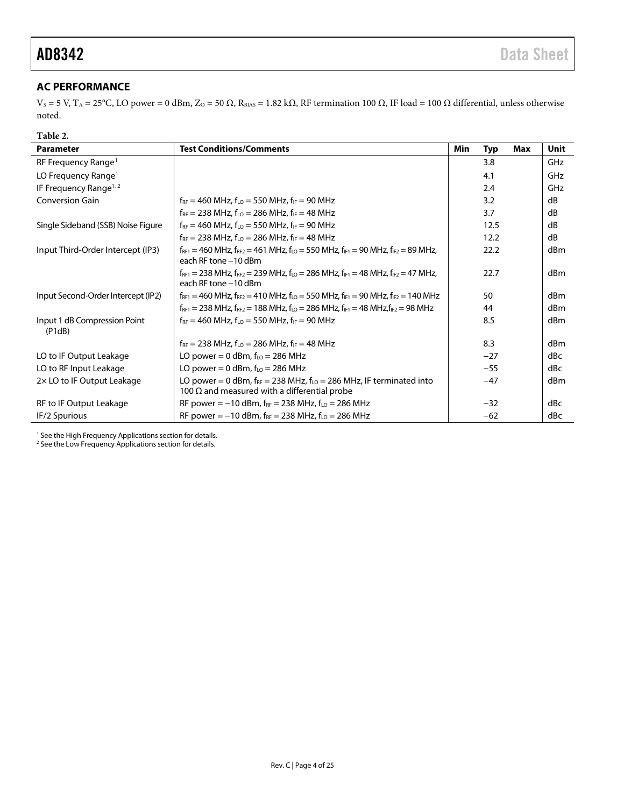## <span id="page-3-0"></span>**AC PERFORMANCE**

 $V_S$  = 5 V, T<sub>A</sub> = 25°C, LO power = 0 dBm, Z<sub>O</sub> = 50 Ω, R<sub>BIAS</sub> = 1.82 kΩ, RF termination 100 Ω, IF load = 100 Ω differential, unless otherwise noted.

<span id="page-3-1"></span>

| Table 2.                                  |                                                                                                                                                               |            |            |            |                 |
|-------------------------------------------|---------------------------------------------------------------------------------------------------------------------------------------------------------------|------------|------------|------------|-----------------|
| <b>Parameter</b>                          | <b>Test Conditions/Comments</b>                                                                                                                               | <b>Min</b> | <b>Typ</b> | <b>Max</b> | <b>Unit</b>     |
| RF Frequency Range <sup>1</sup>           |                                                                                                                                                               |            | 3.8        |            | GHz             |
| LO Frequency Range <sup>1</sup>           |                                                                                                                                                               |            | 4.1        |            | GHz             |
| IF Frequency Range <sup>1, 2</sup>        |                                                                                                                                                               |            | 2.4        |            | GHz             |
| <b>Conversion Gain</b>                    | $f_{RF}$ = 460 MHz, $f_{LO}$ = 550 MHz, $f_{IF}$ = 90 MHz                                                                                                     |            | 3.2        |            | dB              |
|                                           | $f_{RF}$ = 238 MHz, $f_{LO}$ = 286 MHz, $f_{IF}$ = 48 MHz                                                                                                     |            | 3.7        |            | $\overline{AB}$ |
| Single Sideband (SSB) Noise Figure        | $f_{RF}$ = 460 MHz, $f_{LO}$ = 550 MHz, $f_{IF}$ = 90 MHz                                                                                                     |            | 12.5       |            | dB              |
|                                           | $f_{RF}$ = 238 MHz, $f_{LO}$ = 286 MHz, $f_{IF}$ = 48 MHz                                                                                                     |            | 12.2       |            | dB              |
| Input Third-Order Intercept (IP3)         | $f_{RF1} = 460$ MHz, $f_{RF2} = 461$ MHz, $f_{LO} = 550$ MHz, $f_{IF1} = 90$ MHz, $f_{IF2} = 89$ MHz,<br>each RF tone -10 dBm                                 |            | 22.2       |            | d <sub>Bm</sub> |
|                                           | $f_{RF1} = 238 \text{ MHz}, f_{RF2} = 239 \text{ MHz}, f_{LO} = 286 \text{ MHz}, f_{IF1} = 48 \text{ MHz}, f_{IF2} = 47 \text{ MHz},$<br>each RF tone -10 dBm |            | 22.7       |            | dBm             |
| Input Second-Order Intercept (IP2)        | $f_{RF1}$ = 460 MHz, $f_{RF2}$ = 410 MHz, $f_{LO}$ = 550 MHz, $f_{IF1}$ = 90 MHz, $f_{IF2}$ = 140 MHz                                                         |            | 50         |            | d <sub>Bm</sub> |
|                                           | $f_{RF1} = 238 \text{ MHz}, f_{RF2} = 188 \text{ MHz}, f_{LO} = 286 \text{ MHz}, f_{IF1} = 48 \text{ MHz}, f_{IF2} = 98 \text{ MHz}$                          |            | 44         |            | d <sub>Bm</sub> |
| Input 1 dB Compression Point<br>$($ P1dB) | $f_{RF}$ = 460 MHz, $f_{LO}$ = 550 MHz, $f_{IF}$ = 90 MHz                                                                                                     |            | 8.5        |            | d <sub>Bm</sub> |
|                                           | $f_{RF}$ = 238 MHz, $f_{LO}$ = 286 MHz, $f_{IF}$ = 48 MHz                                                                                                     |            | 8.3        |            | d <sub>Bm</sub> |
| LO to IF Output Leakage                   | LO power = $0$ dBm, $f_{LO}$ = 286 MHz                                                                                                                        |            | $-27$      |            | dBc             |
| LO to RF Input Leakage                    | LO power = $0$ dBm, $f_{LO}$ = 286 MHz                                                                                                                        |            | $-55$      |            | dBc             |
| 2× LO to IF Output Leakage                | LO power = 0 dBm, $f_{RF}$ = 238 MHz, $f_{LO}$ = 286 MHz, IF terminated into<br>100 $\Omega$ and measured with a differential probe                           |            | $-47$      |            | d <sub>Bm</sub> |
| RF to IF Output Leakage                   | RF power = $-10$ dBm, $f_{RF}$ = 238 MHz, $f_{LO}$ = 286 MHz                                                                                                  |            | $-32$      |            | dBc             |
| IF/2 Spurious                             | RF power = $-10$ dBm, $f_{RF}$ = 238 MHz, $f_{LO}$ = 286 MHz                                                                                                  |            | $-62$      |            | dBc             |

<sup>1</sup> See th[e High Frequency Applications](#page-18-0) section for details.

<sup>2</sup> See th[e Low Frequency Applications](#page-20-0) section for details.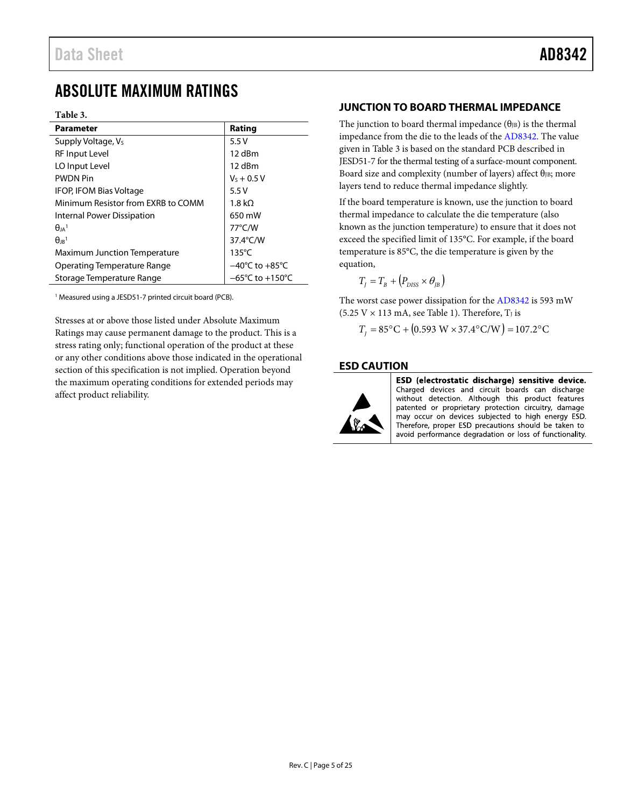## <span id="page-4-0"></span>ABSOLUTE MAXIMUM RATINGS

### <span id="page-4-5"></span>**Table 3.**

| <b>Parameter</b>                    | Rating                              |  |  |
|-------------------------------------|-------------------------------------|--|--|
| Supply Voltage, Vs                  | 5.5V                                |  |  |
| RF Input Level                      | $12$ dBm                            |  |  |
| LO Input Level                      | 12 dBm                              |  |  |
| <b>PWDN Pin</b>                     | $V_5 + 0.5V$                        |  |  |
| <b>IFOP, IFOM Bias Voltage</b>      | 5.5V                                |  |  |
| Minimum Resistor from FXRB to COMM  | 1.8 kO                              |  |  |
| Internal Power Dissipation          | 650 mW                              |  |  |
| $\theta_{IA}$ <sup>1</sup>          | $77^{\circ}$ C/W                    |  |  |
| $\theta$ <sub>IR</sub> <sup>1</sup> | 37.4°C/W                            |  |  |
| <b>Maximum Junction Temperature</b> | $135^{\circ}$ C                     |  |  |
| Operating Temperature Range         | $-40^{\circ}$ C to $+85^{\circ}$ C  |  |  |
| Storage Temperature Range           | $-65^{\circ}$ C to $+150^{\circ}$ C |  |  |

<sup>1</sup> Measured using a JESD51-7 printed circuit board (PCB).

<span id="page-4-4"></span><span id="page-4-3"></span>Stresses at or above those listed under Absolute Maximum Ratings may cause permanent damage to the product. This is a stress rating only; functional operation of the product at these or any other conditions above those indicated in the operational section of this specification is not implied. Operation beyond the maximum operating conditions for extended periods may affect product reliability.

## <span id="page-4-1"></span>**JUNCTION TO BOARD THERMAL IMPEDANCE**

The junction to board thermal impedance  $(\theta_{JB})$  is the thermal impedance from the die to the leads of the [AD8342.](http://www.analog.com/AD8342?doc=AD8342.pdf) The value given i[n Table 3](#page-4-5) is based on the standard PCB described in JESD51-7 for the thermal testing of a surface-mount component. Board size and complexity (number of layers) affect θjΒ; more layers tend to reduce thermal impedance slightly.

If the board temperature is known, use the junction to board thermal impedance to calculate the die temperature (also known as the junction temperature) to ensure that it does not exceed the specified limit of 135°C. For example, if the board temperature is 85°C, the die temperature is given by the equation,

$$
T_{J} = T_{B} + \left(P_{DISS} \times \theta_{JB}\right)
$$

The worst case power dissipation for the [AD8342](http://www.analog.com/AD8342?doc=AD8342.pdf) is 593 mW  $(5.25 \text{ V} \times 113 \text{ mA}, \text{see Table 1}).$  Therefore,  $T_1$  is

 $T_{I} = 85^{\circ}\text{C} + (0.593 \text{ W} \times 37.4^{\circ}\text{C/W}) = 107.2^{\circ}\text{C}$ 

### <span id="page-4-2"></span>**ESD CAUTION**



ESD (electrostatic discharge) sensitive device. Charged devices and circuit boards can discharge without detection. Although this product features patented or proprietary protection circuitry, damage may occur on devices subjected to high energy ESD. Therefore, proper ESD precautions should be taken to avoid performance degradation or loss of functionality.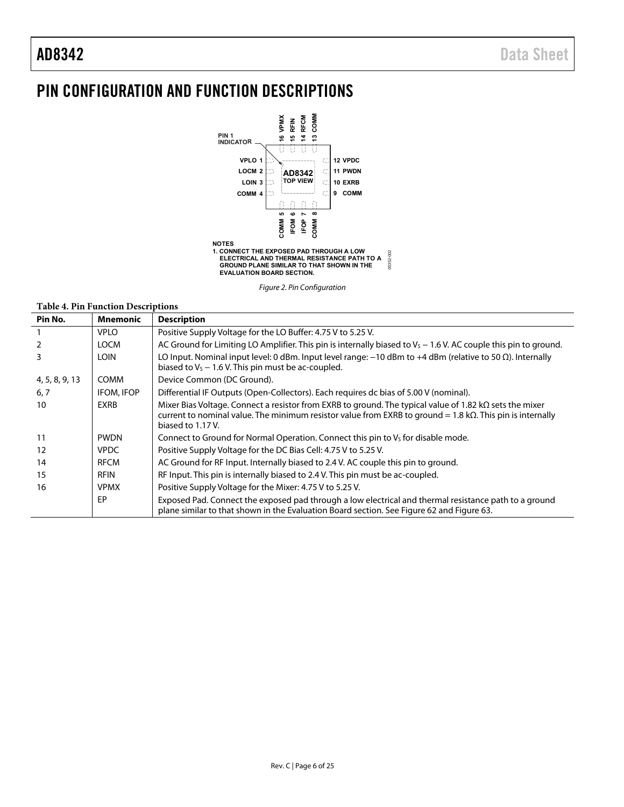## <span id="page-5-0"></span>PIN CONFIGURATION AND FUNCTION DESCRIPTIONS



Figure 2. Pin Configuration

### **Table 4. Pin Function Descriptions**

| Pin No.        | <b>Mnemonic</b> | <b>Description</b>                                                                                                                                                                                                                                           |
|----------------|-----------------|--------------------------------------------------------------------------------------------------------------------------------------------------------------------------------------------------------------------------------------------------------------|
|                | <b>VPLO</b>     | Positive Supply Voltage for the LO Buffer: 4.75 V to 5.25 V.                                                                                                                                                                                                 |
| 2              | <b>LOCM</b>     | AC Ground for Limiting LO Amplifier. This pin is internally biased to $V_s - 1.6$ V. AC couple this pin to ground.                                                                                                                                           |
| 3              | <b>LOIN</b>     | LO Input. Nominal input level: 0 dBm. Input level range: $-10$ dBm to $+4$ dBm (relative to 50 $\Omega$ ). Internally<br>biased to $V_s$ – 1.6 V. This pin must be ac-coupled.                                                                               |
| 4, 5, 8, 9, 13 | <b>COMM</b>     | Device Common (DC Ground).                                                                                                                                                                                                                                   |
| 6, 7           | IFOM, IFOP      | Differential IF Outputs (Open-Collectors). Each requires dc bias of 5.00 V (nominal).                                                                                                                                                                        |
| 10             | <b>EXRB</b>     | Mixer Bias Voltage. Connect a resistor from EXRB to ground. The typical value of 1.82 k $\Omega$ sets the mixer<br>current to nominal value. The minimum resistor value from EXRB to ground = $1.8$ k $\Omega$ . This pin is internally<br>biased to 1.17 V. |
| 11             | <b>PWDN</b>     | Connect to Ground for Normal Operation. Connect this pin to V <sub>s</sub> for disable mode.                                                                                                                                                                 |
| 12             | <b>VPDC</b>     | Positive Supply Voltage for the DC Bias Cell: 4.75 V to 5.25 V.                                                                                                                                                                                              |
| 14             | <b>RFCM</b>     | AC Ground for RF Input. Internally biased to 2.4 V. AC couple this pin to ground.                                                                                                                                                                            |
| 15             | <b>RFIN</b>     | RF Input. This pin is internally biased to 2.4 V. This pin must be ac-coupled.                                                                                                                                                                               |
| 16             | <b>VPMX</b>     | Positive Supply Voltage for the Mixer: 4.75 V to 5.25 V.                                                                                                                                                                                                     |
|                | <b>FP</b>       | Exposed Pad. Connect the exposed pad through a low electrical and thermal resistance path to a ground<br>plane similar to that shown in the Evaluation Board section. See Figure 62 and Figure 63.                                                           |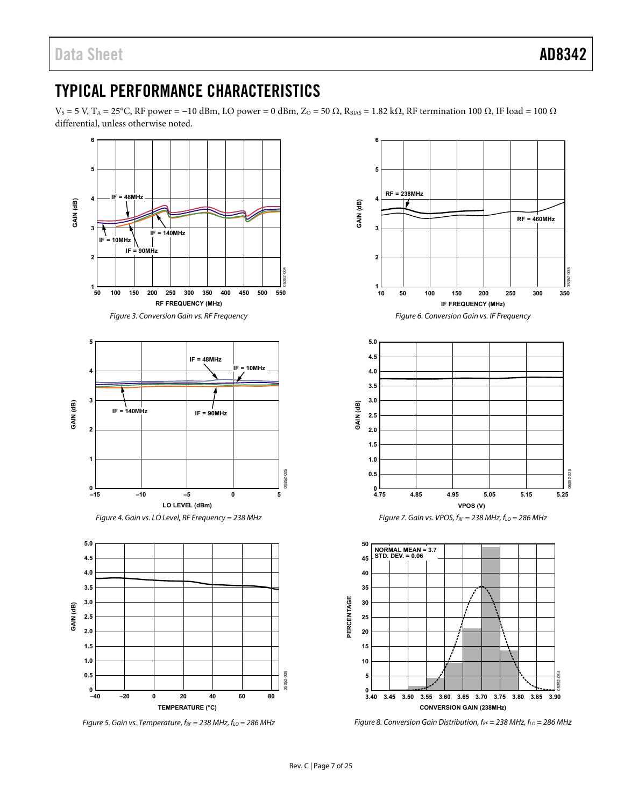05352-005

ă

05352-026

## <span id="page-6-0"></span>TYPICAL PERFORMANCE CHARACTERISTICS

 $V_S$  = 5 V, T<sub>A</sub> = 25°C, RF power = -10 dBm, LO power = 0 dBm, Z<sub>O</sub> = 50 Ω, R<sub>BIAS</sub> = 1.82 kΩ, RF termination 100 Ω, IF load = 100 Ω differential, unless otherwise noted.

<span id="page-6-1"></span>

Figure 5. Gain vs. Temperature,  $f_{RF}$  = 238 MHz,  $f_{LO}$  = 286 MHz Figure 8. Conversion Gain Distribution,  $f_{RF} = 238$  MHz,  $f_{LO} = 286$  MHz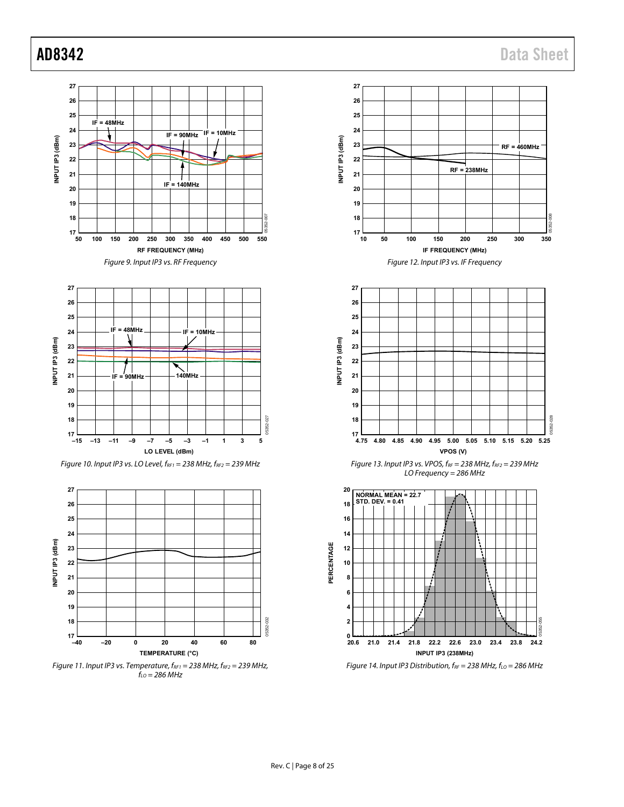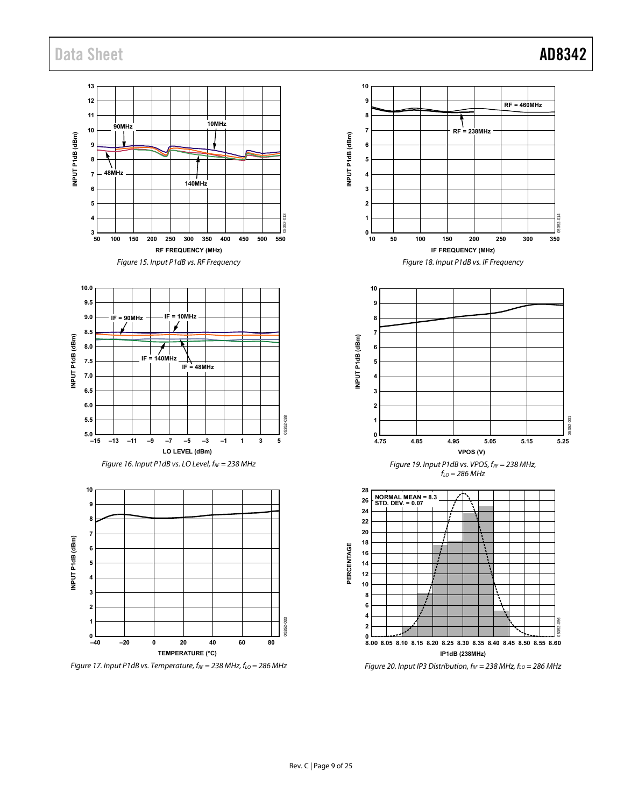## Data Sheet **AD8342**

05352-031



Figure 17. Input P1dB vs. Temperature,  $f_{RF} = 238$  MHz,  $f_{LO} = 286$  MHz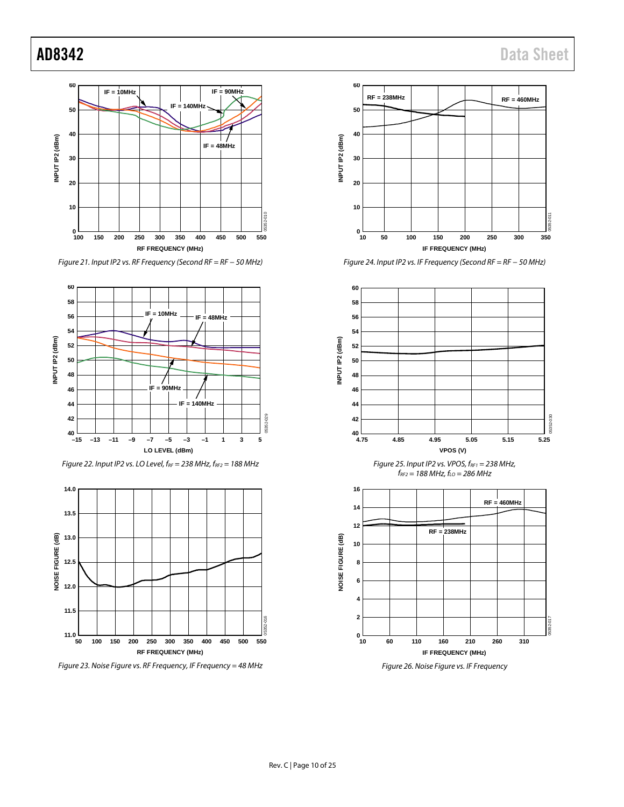

*Figure 21. Input IP2 vs. RF Frequency (Second RF = RF − 50 MHz)*











*Figure 24. Input IP2 vs. IF Frequency (Second RF = RF − 50 MHz)*



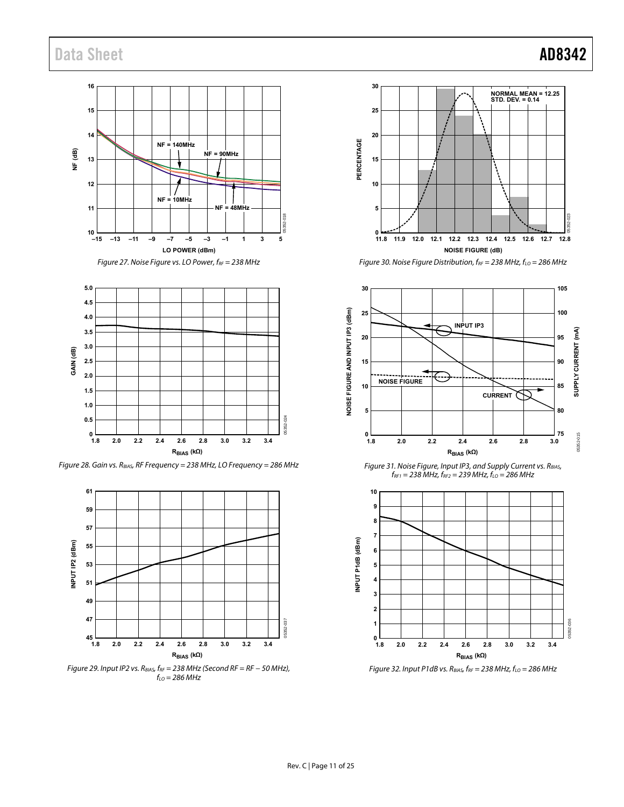## Data Sheet **AD8342**











Figure 29. Input IP2 vs. R<sub>BIAS</sub>, f<sub>RF</sub> = 238 MHz (Second RF = RF - 50 MHz),  $f_{LO} = 286$  MHz



Figure 30. Noise Figure Distribution,  $f_{RF} = 238$  MHz,  $f_{LO} = 286$  MHz



Figure 31. Noise Figure, Input IP3, and Supply Current vs. RBIAS,  $f_{RF1} = 238$  MHz,  $f_{RF2} = 239$  MHz,  $f_{LO} = 286$  MHz



Figure 32. Input P1dB vs.  $R_{BIAS}$ ,  $f_{RF} = 238$  MHz,  $f_{LO} = 286$  MHz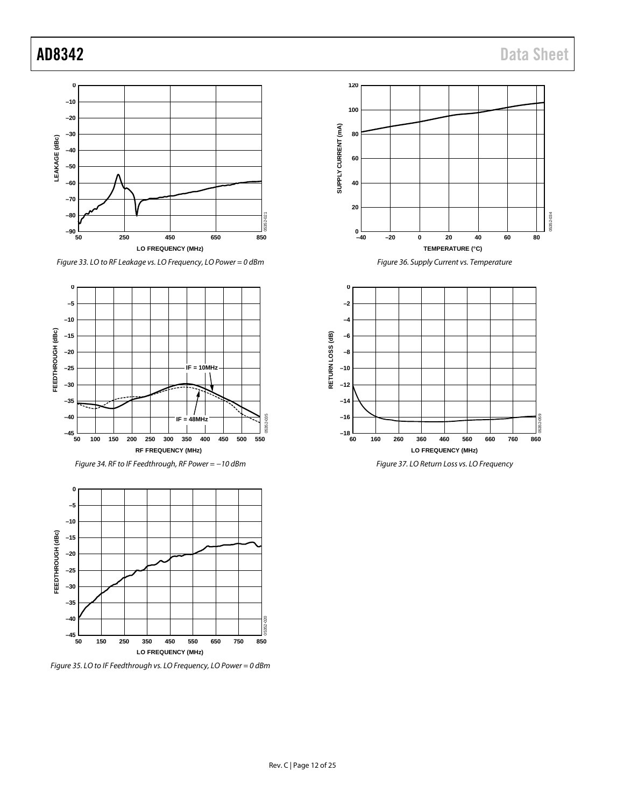

*Figure 33. LO to RF Leakage vs. LO Frequency, LO Power = 0 dBm*







*Figure 35. LO to IF Feedthrough vs. LO Frequency, LO Power = 0 dBm*







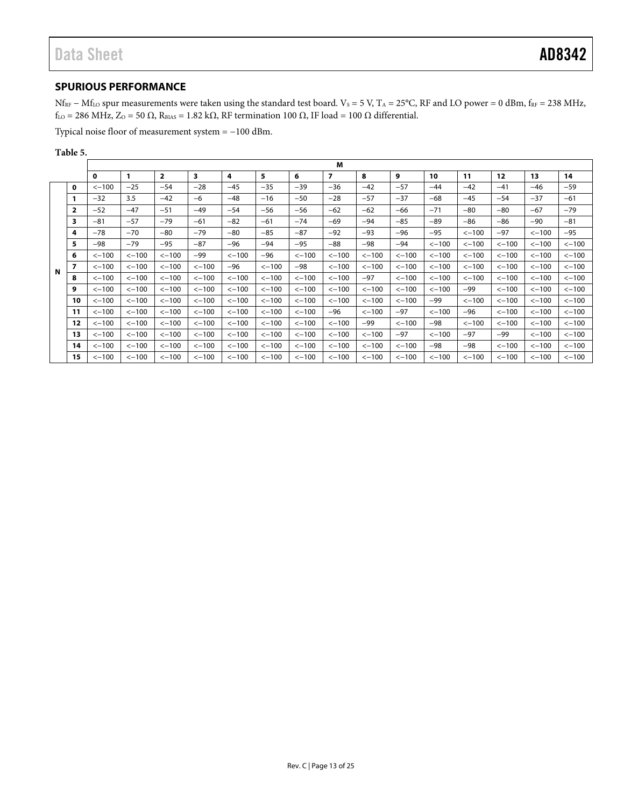## <span id="page-12-0"></span>**SPURIOUS PERFORMANCE**

Nf<sub>RF</sub> – Mf<sub>LO</sub> spur measurements were taken using the standard test board. V<sub>S</sub> = 5 V, T<sub>A</sub> = 25°C, RF and LO power = 0 dBm, f<sub>RF</sub> = 238 MHz, f<sub>LO</sub> = 286 MHz, Z<sub>O</sub> = 50 Ω, R<sub>BIAS</sub> = 1.82 kΩ, RF termination 100 Ω, IF load = 100 Ω differential.

Typical noise floor of measurement system = −100 dBm.

### **Table 5.**

|   |                         | М       |         |                |         |         |         |         |         |         |         |         |         |         |         |         |
|---|-------------------------|---------|---------|----------------|---------|---------|---------|---------|---------|---------|---------|---------|---------|---------|---------|---------|
|   |                         | 0       | 1       | $\overline{2}$ | 3       | 4       | 5       | 6       | 7       | 8       | 9       | 10      | 11      | 12      | 13      | 14      |
|   | 0                       | $<-100$ | $-25$   | $-54$          | $-28$   | $-45$   | $-35$   | $-39$   | $-36$   | $-42$   | $-57$   | $-44$   | $-42$   | $-41$   | $-46$   | $-59$   |
|   |                         | $-32$   | 3.5     | $-42$          | $-6$    | $-48$   | $-16$   | -50     | $-28$   | $-57$   | $-37$   | $-68$   | $-45$   | $-54$   | $-37$   | $-61$   |
|   | $\overline{\mathbf{2}}$ | $-52$   | $-47$   | $-51$          | $-49$   | $-54$   | $-56$   | -56     | $-62$   | $-62$   | -66     | $-71$   | $-80$   | $-80$   | $-67$   | $-79$   |
|   | 3                       | $-81$   | $-57$   | $-79$          | $-61$   | $-82$   | $-61$   | $-74$   | $-69$   | $-94$   | $-85$   | $-89$   | $-86$   | $-86$   | $-90$   | $-81$   |
|   | 4                       | $-78$   | $-70$   | $-80$          | $-79$   | $-80$   | $-85$   | $-87$   | $-92$   | $-93$   | -96     | $-95$   | $<-100$ | $-97$   | $<-100$ | $-95$   |
| N | 5                       | -98     | $-79$   | $-95$          | $-87$   | $-96$   | $-94$   | -95     | $-88$   | -98     | -94     | $<-100$ | $<-100$ | $<-100$ | $<-100$ | $<-100$ |
|   | 6                       | $<-100$ | $<-100$ | $<-100$        | $-99$   | $<-100$ | $-96$   | $<-100$ | $<-100$ | $<-100$ | $<-100$ | $<-100$ | $<-100$ | $<-100$ | $<-100$ | $<-100$ |
|   | 7                       | $<-100$ | $<-100$ | $<-100$        | $<-100$ | $-96$   | $<-100$ | $-98$   | $<-100$ | $<-100$ | $<-100$ | $<-100$ | $<-100$ | $<-100$ | $<-100$ | $<-100$ |
|   | 8                       | $<-100$ | $<-100$ | $<-100$        | $<-100$ | $<-100$ | $<-100$ | $<-100$ | $<-100$ | $-97$   | $<-100$ | $<-100$ | $<-100$ | $<-100$ | $<-100$ | $<-100$ |
|   | 9                       | $<-100$ | $<-100$ | $<-100$        | $<-100$ | $<-100$ | $<-100$ | $<-100$ | $<-100$ | $<-100$ | $<-100$ | $<-100$ | $-99$   | $<-100$ | $<-100$ | $<-100$ |
|   | 10                      | $<-100$ | $<-100$ | $<-100$        | $<-100$ | $<-100$ | $<-100$ | $<-100$ | $<-100$ | $<-100$ | $<-100$ | $-99$   | $<-100$ | $<-100$ | $<-100$ | $<-100$ |
|   | 11                      | $<-100$ | $<-100$ | $<-100$        | $<-100$ | $<-100$ | $<-100$ | $<-100$ | $-96$   | $<-100$ | $-97$   | $<-100$ | -96     | $<-100$ | $<-100$ | $<-100$ |
|   | 12                      | $<-100$ | $<-100$ | $<-100$        | $<-100$ | $<-100$ | $<-100$ | $<-100$ | $<-100$ | $-99$   | $<-100$ | $-98$   | $<-100$ | $<-100$ | $<-100$ | $<-100$ |
|   | 13                      | $<-100$ | $<-100$ | $<-100$        | $<-100$ | $<-100$ | $<-100$ | $<-100$ | $<-100$ | $<-100$ | $-97$   | $<-100$ | $-97$   | $-99$   | $<-100$ | $<-100$ |
|   | 14                      | $<-100$ | $<-100$ | $<-100$        | $<-100$ | $<-100$ | $<-100$ | $<-100$ | $<-100$ | $<-100$ | $<-100$ | $-98$   | $-98$   | $<-100$ | $<-100$ | $<-100$ |
|   | 15                      | $<-100$ | $<-100$ | $<-100$        | $<-100$ | $<-100$ | $<-100$ | $<-100$ | $<-100$ | $<-100$ | $<-100$ | $<-100$ | $<-100$ | $<-100$ | $<-100$ | $<-100$ |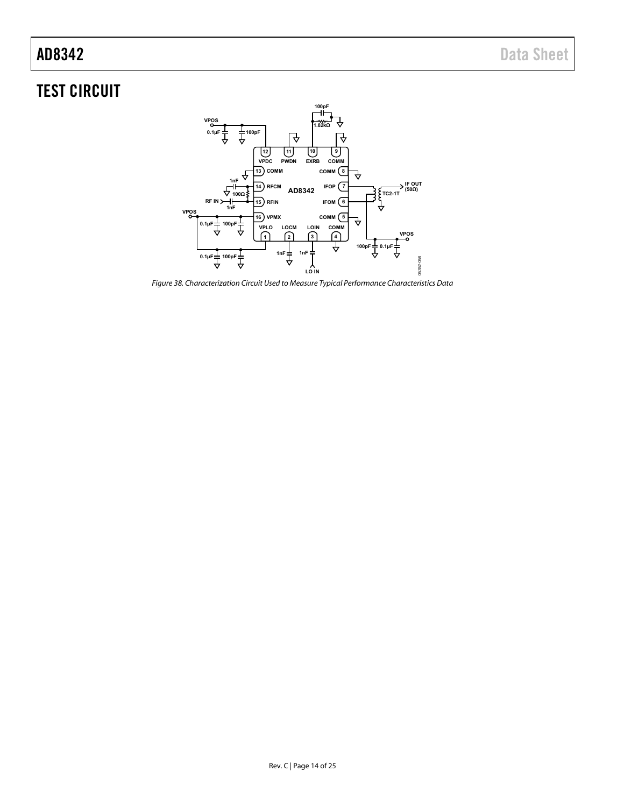## <span id="page-13-0"></span>TEST CIRCUIT



Figure 38. Characterization Circuit Used to Measure Typical Performance Characteristics Data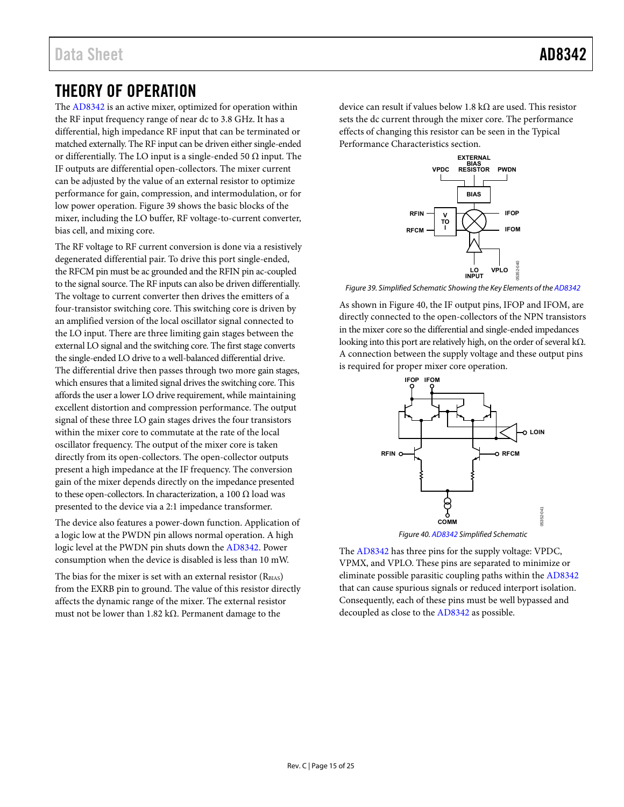## <span id="page-14-0"></span>THEORY OF OPERATION

The [AD8342 i](http://www.analog.com/AD8342?doc=AD8342.pdf)s an active mixer, optimized for operation within the RF input frequency range of near dc to 3.8 GHz. It has a differential, high impedance RF input that can be terminated or matched externally. The RF input can be driven either single-ended or differentially. The LO input is a single-ended 50  $\Omega$  input. The IF outputs are differential open-collectors. The mixer current can be adjusted by the value of an external resistor to optimize performance for gain, compression, and intermodulation, or for low power operation[. Figure 39 s](#page-14-1)hows the basic blocks of the mixer, including the LO buffer, RF voltage-to-current converter, bias cell, and mixing core.

The RF voltage to RF current conversion is done via a resistively degenerated differential pair. To drive this port single-ended, the RFCM pin must be ac grounded and the RFIN pin ac-coupled to the signal source. The RF inputs can also be driven differentially. The voltage to current converter then drives the emitters of a four-transistor switching core. This switching core is driven by an amplified version of the local oscillator signal connected to the LO input. There are three limiting gain stages between the external LO signal and the switching core. The first stage converts the single-ended LO drive to a well-balanced differential drive. The differential drive then passes through two more gain stages, which ensures that a limited signal drives the switching core. This affords the user a lower LO drive requirement, while maintaining excellent distortion and compression performance. The output signal of these three LO gain stages drives the four transistors within the mixer core to commutate at the rate of the local oscillator frequency. The output of the mixer core is taken directly from its open-collectors. The open-collector outputs present a high impedance at the IF frequency. The conversion gain of the mixer depends directly on the impedance presented to these open-collectors. In characterization, a 100  $\Omega$  load was presented to the device via a 2:1 impedance transformer.

The device also features a power-down function. Application of a logic low at the PWDN pin allows normal operation. A high logic level at the PWDN pin shuts down the [AD8342.](http://www.analog.com/AD8342?doc=AD8342.pdf) Power consumption when the device is disabled is less than 10 mW.

The bias for the mixer is set with an external resistor (RBIAS) from the EXRB pin to ground. The value of this resistor directly affects the dynamic range of the mixer. The external resistor must not be lower than 1.82 kΩ. Permanent damage to the

device can result if values below 1.8 kΩ are used. This resistor sets the dc current through the mixer core. The performance effects of changing this resistor can be seen in the [Typical](#page-6-0)  [Performance Characteristics s](#page-6-0)ection.



<span id="page-14-1"></span>Figure 39. Simplified Schematic Showing the Key Elements of th[e AD8342](http://www.analog.com/AD8342?doc=AD8342.pdf)

As shown in [Figure 40,](#page-14-2) the IF output pins, IFOP and IFOM, are directly connected to the open-collectors of the NPN transistors in the mixer core so the differential and single-ended impedances looking into this port are relatively high, on the order of several kΩ. A connection between the supply voltage and these output pins is required for proper mixer core operation.



<span id="page-14-2"></span>The [AD8342 h](http://www.analog.com/AD8342?doc=AD8342.pdf)as three pins for the supply voltage: VPDC, VPMX, and VPLO. These pins are separated to minimize or eliminate possible parasitic coupling paths within th[e AD8342](http://www.analog.com/AD8342?doc=AD8342.pdf) that can cause spurious signals or reduced interport isolation. Consequently, each of these pins must be well bypassed and decoupled as close to the [AD8342](http://www.analog.com/AD8342?doc=AD8342.pdf) as possible.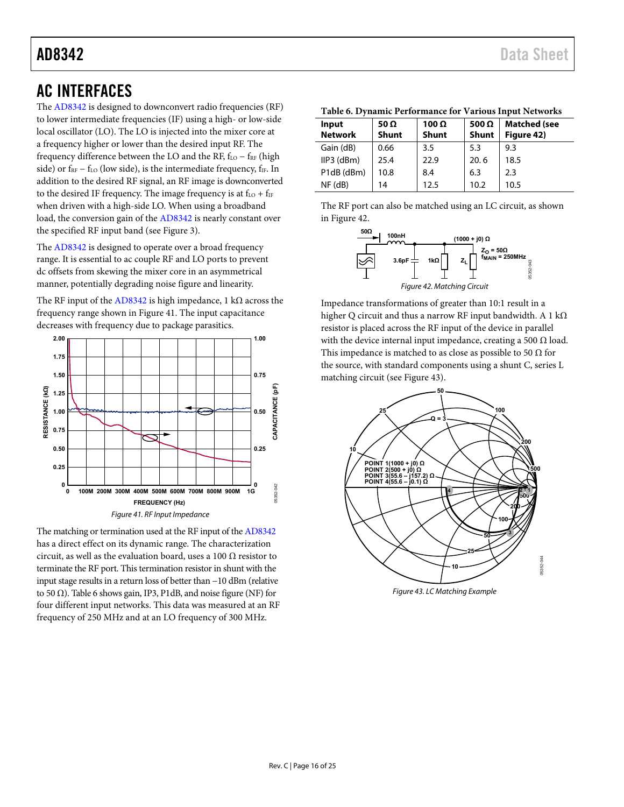## <span id="page-15-0"></span>AC INTERFACES

The [AD8342 i](http://www.analog.com/AD8342?doc=AD8342.pdf)s designed to downconvert radio frequencies (RF) to lower intermediate frequencies (IF) using a high- or low-side local oscillator (LO). The LO is injected into the mixer core at a frequency higher or lower than the desired input RF. The frequency difference between the LO and the RF,  $f_{LO} - f_{RF}$  (high side) or  $f_{RF} - f_{LO}$  (low side), is the intermediate frequency,  $f_{IF}$ . In addition to the desired RF signal, an RF image is downconverted to the desired IF frequency. The image frequency is at  $f_{LO} + f_{IF}$ when driven with a high-side LO. When using a broadband load, the conversion gain of the [AD8342 i](http://www.analog.com/AD8342?doc=AD8342.pdf)s nearly constant over the specified RF input band (see [Figure 3\)](#page-6-1).

The [AD8342 i](http://www.analog.com/AD8342?doc=AD8342.pdf)s designed to operate over a broad frequency range. It is essential to ac couple RF and LO ports to prevent dc offsets from skewing the mixer core in an asymmetrical manner, potentially degrading noise figure and linearity.

The RF input of th[e AD8342](http://www.analog.com/AD8342?doc=AD8342.pdf) is high impedance, 1 k $\Omega$  across the frequency range shown i[n Figure 41.](#page-15-1) The input capacitance decreases with frequency due to package parasitics.



<span id="page-15-1"></span>The matching or termination used at the RF input of th[e AD8342](http://www.analog.com/AD8342?doc=AD8342.pdf) has a direct effect on its dynamic range. The characterization circuit, as well as the evaluation board, uses a 100  $\Omega$  resistor to terminate the RF port. This termination resistor in shunt with the input stage results in a return loss of better than −10 dBm (relative to 50 Ω)[. Table 6 s](#page-15-2)hows gain, IP3, P1dB, and noise figure (NF) for four different input networks. This data was measured at an RF frequency of 250 MHz and at an LO frequency of 300 MHz.

<span id="page-15-2"></span>

| Table 6. Dynamic Performance for Various Input Networks |  |  |  |
|---------------------------------------------------------|--|--|--|
|---------------------------------------------------------|--|--|--|

| Input<br><b>Network</b> | 50 $\Omega$<br><b>Shunt</b> | 100 $\Omega$<br><b>Shunt</b> | 500 $\Omega$<br><b>Shunt</b> | <b>Matched</b> (see<br>Figure 42) |
|-------------------------|-----------------------------|------------------------------|------------------------------|-----------------------------------|
| Gain (dB)               | 0.66                        | 3.5                          | 5.3                          | 9.3                               |
| $IIP3$ (dBm)            | 25.4                        | 22.9                         | 20.6                         | 18.5                              |
| P1dB (dBm)              | 10.8                        | 8.4                          | 6.3                          | 2.3                               |
| $NF$ ( $dB$ )           | 14                          | 12.5                         | 10.2                         | 10.5                              |

The RF port can also be matched using an LC circuit, as shown in [Figure 42.](#page-15-3) 



<span id="page-15-3"></span>Impedance transformations of greater than 10:1 result in a higher Q circuit and thus a narrow RF input bandwidth. A 1 kΩ resistor is placed across the RF input of the device in parallel with the device internal input impedance, creating a 500  $\Omega$  load. This impedance is matched to as close as possible to 50  $\Omega$  for the source, with standard components using a shunt C, series L matching circuit (se[e Figure 43\)](#page-15-4).



<span id="page-15-4"></span>Figure 43. LC Matching Example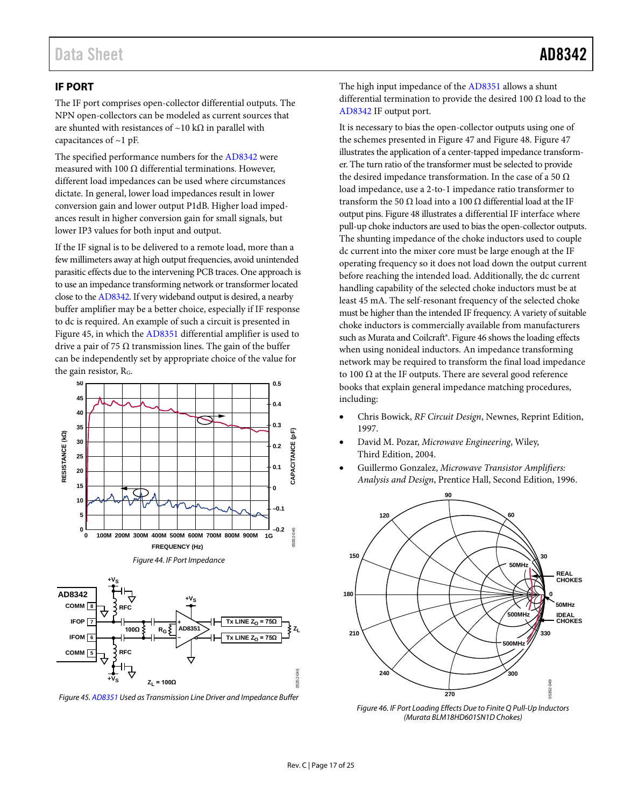### <span id="page-16-0"></span>**IF PORT**

The IF port comprises open-collector differential outputs. The NPN open-collectors can be modeled as current sources that are shunted with resistances of ~10 kΩ in parallel with capacitances of ~1 pF.

The specified performance numbers for the [AD8342](http://www.analog.com/AD8342?doc=AD8342.pdf) were measured with 100  $Ω$  differential terminations. However, different load impedances can be used where circumstances dictate. In general, lower load impedances result in lower conversion gain and lower output P1dB. Higher load impedances result in higher conversion gain for small signals, but lower IP3 values for both input and output.

If the IF signal is to be delivered to a remote load, more than a few millimeters away at high output frequencies, avoid unintended parasitic effects due to the intervening PCB traces. One approach is to use an impedance transforming network or transformer located close to th[e AD8342.](http://www.analog.com/AD8342?doc=AD8342.pdf) If very wideband output is desired, a nearby buffer amplifier may be a better choice, especially if IF response to dc is required. An example of such a circuit is presented in [Figure 45,](#page-16-1) in which th[e AD8351](http://www.analog.com/ad8351?doc=AD8342.pdf) differential amplifier is used to drive a pair of 75  $\Omega$  transmission lines. The gain of the buffer can be independently set by appropriate choice of the value for the gain resistor, RG.







<span id="page-16-1"></span>*Figure 45[. AD8351](http://www.analog.com/ad8351?doc=AD8342.pdf) Used as Transmission Line Driver and Impedance Buffer*

The high input impedance of th[e AD8351](http://www.analog.com/ad8351?doc=AD8342.pdf) allows a shunt differential termination to provide the desired 100  $\Omega$  load to the [AD8342](http://www.analog.com/AD8342?doc=AD8342.pdf) IF output port.

It is necessary to bias the open-collector outputs using one of the schemes presented in [Figure 47](#page-17-1) an[d Figure 48.](#page-17-2) [Figure 47](#page-17-1) illustrates the application of a center-tapped impedance transformer. The turn ratio of the transformer must be selected to provide the desired impedance transformation. In the case of a 50  $\Omega$ load impedance, use a 2-to-1 impedance ratio transformer to transform the 50 Ω load into a 100 Ω differential load at the IF output pins[. Figure 48](#page-17-2) illustrates a differential IF interface where pull-up choke inductors are used to bias the open-collector outputs. The shunting impedance of the choke inductors used to couple dc current into the mixer core must be large enough at the IF operating frequency so it does not load down the output current before reaching the intended load. Additionally, the dc current handling capability of the selected choke inductors must be at least 45 mA. The self-resonant frequency of the selected choke must be higher than the intended IF frequency. A variety of suitable choke inductors is commercially available from manufacturers such as Murata and Coilcraft®[. Figure 46](#page-16-2) shows the loading effects when using nonideal inductors. An impedance transforming network may be required to transform the final load impedance to 100 Ω at the IF outputs. There are several good reference books that explain general impedance matching procedures, including:

- Chris Bowick, *RF Circuit Design*, Newnes, Reprint Edition, 1997.
- David M. Pozar, *Microwave Engineering*, Wiley, Third Edition, 2004.
- Guillermo Gonzalez, *Microwave Transistor Amplifiers: Analysis and Design*, Prentice Hall, Second Edition, 1996.



<span id="page-16-2"></span>*Figure 46. IF Port Loading Effects Due to Finite Q Pull-Up Inductors (Murata BLM18HD601SN1D Chokes)*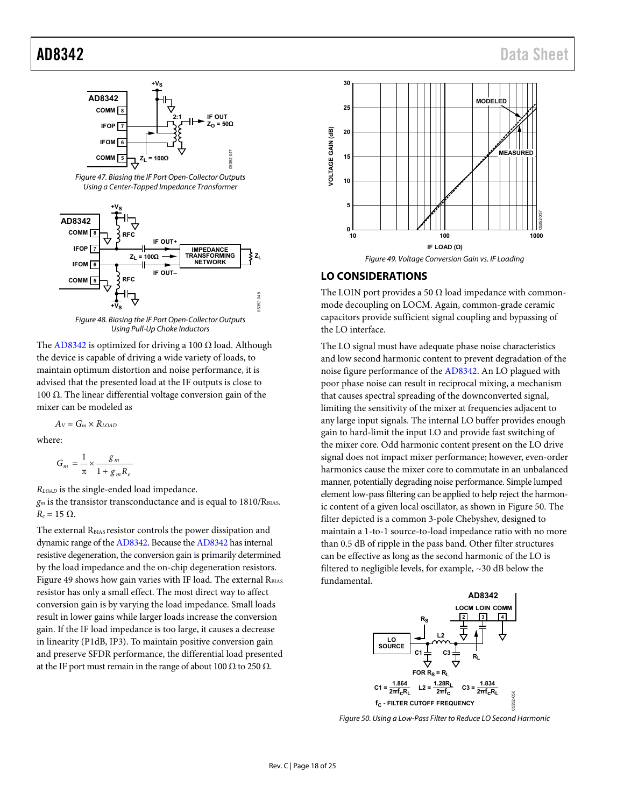

<span id="page-17-1"></span>



Figure 48. Biasing the IF Port Open-Collector Outputs Using Pull-Up Choke Inductors

<span id="page-17-2"></span>The [AD8342 i](http://www.analog.com/AD8342?doc=AD8342.pdf)s optimized for driving a 100  $\Omega$  load. Although the device is capable of driving a wide variety of loads, to maintain optimum distortion and noise performance, it is advised that the presented load at the IF outputs is close to 100 Ω. The linear differential voltage conversion gain of the mixer can be modeled as

 $Av = G_m \times R_{LOAD}$ 

where:

$$
G_m = \frac{1}{\pi} \times \frac{g_m}{1 + g_m R_e}
$$

*RLOAD* is the single-ended load impedance.

 $g_m$  is the transistor transconductance and is equal to  $1810/R<sub>BIAS</sub>$ .  $R_e = 15 \Omega$ .

The external R<sub>BIAS</sub> resistor controls the power dissipation and dynamic range of th[e AD8342.](http://www.analog.com/AD8342?doc=AD8342.pdf) Because th[e AD8342 h](http://www.analog.com/AD8342?doc=AD8342.pdf)as internal resistive degeneration, the conversion gain is primarily determined by the load impedance and the on-chip degeneration resistors. [Figure 49 s](#page-17-3)hows how gain varies with IF load. The external RBIAS resistor has only a small effect. The most direct way to affect conversion gain is by varying the load impedance. Small loads result in lower gains while larger loads increase the conversion gain. If the IF load impedance is too large, it causes a decrease in linearity (P1dB, IP3). To maintain positive conversion gain and preserve SFDR performance, the differential load presented at the IF port must remain in the range of about 100  $\Omega$  to 250  $\Omega$ .



### <span id="page-17-3"></span><span id="page-17-0"></span>**LO CONSIDERATIONS**

The LOIN port provides a 50  $\Omega$  load impedance with commonmode decoupling on LOCM. Again, common-grade ceramic capacitors provide sufficient signal coupling and bypassing of the LO interface.

The LO signal must have adequate phase noise characteristics and low second harmonic content to prevent degradation of the noise figure performance of th[e AD8342.](http://www.analog.com/AD8342?doc=AD8342.pdf) An LO plagued with poor phase noise can result in reciprocal mixing, a mechanism that causes spectral spreading of the downconverted signal, limiting the sensitivity of the mixer at frequencies adjacent to any large input signals. The internal LO buffer provides enough gain to hard-limit the input LO and provide fast switching of the mixer core. Odd harmonic content present on the LO drive signal does not impact mixer performance; however, even-order harmonics cause the mixer core to commutate in an unbalanced manner, potentially degrading noise performance. Simple lumped element low-pass filtering can be applied to help reject the harmonic content of a given local oscillator, as shown i[n Figure 50.](#page-17-4) The filter depicted is a common 3-pole Chebyshev, designed to maintain a 1-to-1 source-to-load impedance ratio with no more than 0.5 dB of ripple in the pass band. Other filter structures can be effective as long as the second harmonic of the LO is filtered to negligible levels, for example, ~30 dB below the fundamental.



<span id="page-17-4"></span>Figure 50. Using a Low-Pass Filter to Reduce LO Second Harmonic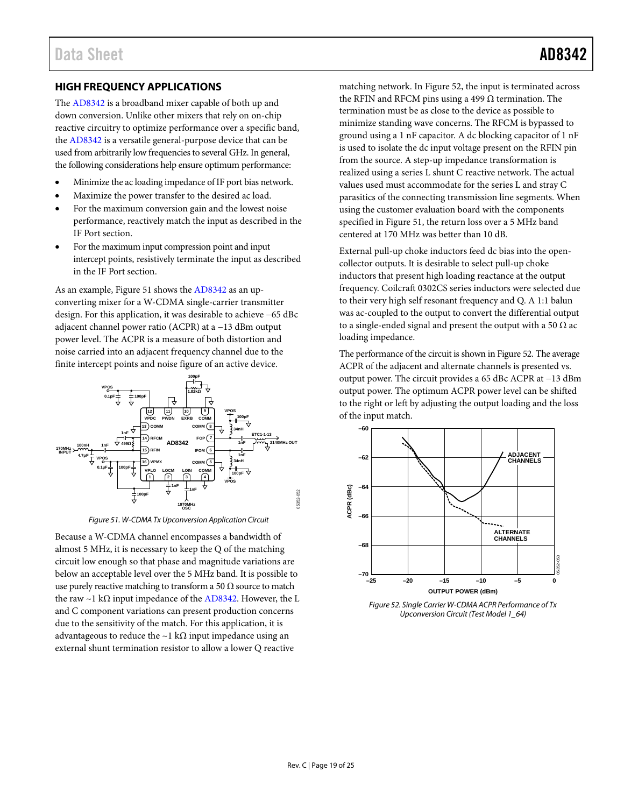<span id="page-18-0"></span>The [AD8342](http://www.analog.com/AD8342?doc=AD8342.pdf) is a broadband mixer capable of both up and down conversion. Unlike other mixers that rely on on-chip reactive circuitry to optimize performance over a specific band, the [AD8342](http://www.analog.com/AD8342?doc=AD8342.pdf) is a versatile general-purpose device that can be used from arbitrarily low frequencies to several GHz. In general, the following considerations help ensure optimum performance:

- Minimize the ac loading impedance of IF port bias network.
- Maximize the power transfer to the desired ac load.
- For the maximum conversion gain and the lowest noise performance, reactively match the input as described in the [IF Port](#page-16-0) section.
- For the maximum input compression point and input intercept points, resistively terminate the input as described in the [IF Port](#page-16-0) section.

As an example[, Figure 51](#page-18-1) shows th[e AD8342](http://www.analog.com/AD8342?doc=AD8342.pdf) as an upconverting mixer for a W-CDMA single-carrier transmitter design. For this application, it was desirable to achieve −65 dBc adjacent channel power ratio (ACPR) at a −13 dBm output power level. The ACPR is a measure of both distortion and noise carried into an adjacent frequency channel due to the finite intercept points and noise figure of an active device.



*Figure 51. W-CDMA Tx Upconversion Application Circuit*

<span id="page-18-1"></span>Because a W-CDMA channel encompasses a bandwidth of almost 5 MHz, it is necessary to keep the Q of the matching circuit low enough so that phase and magnitude variations are below an acceptable level over the 5 MHz band. It is possible to use purely reactive matching to transform a 50  $\Omega$  source to match the raw ~1 k $\Omega$  input impedance of the [AD8342.](http://www.analog.com/AD8342?doc=AD8342.pdf) However, the L and C component variations can present production concerns due to the sensitivity of the match. For this application, it is advantageous to reduce the ~1 k $\Omega$  input impedance using an external shunt termination resistor to allow a lower Q reactive

matching network. In [Figure 52,](#page-18-2) the input is terminated across the RFIN and RFCM pins using a 499  $\Omega$  termination. The termination must be as close to the device as possible to minimize standing wave concerns. The RFCM is bypassed to ground using a 1 nF capacitor. A dc blocking capacitor of 1 nF is used to isolate the dc input voltage present on the RFIN pin from the source. A step-up impedance transformation is realized using a series L shunt C reactive network. The actual values used must accommodate for the series L and stray C parasitics of the connecting transmission line segments. When using the customer evaluation board with the components specified i[n Figure 51,](#page-18-1) the return loss over a 5 MHz band centered at 170 MHz was better than 10 dB.

External pull-up choke inductors feed dc bias into the opencollector outputs. It is desirable to select pull-up choke inductors that present high loading reactance at the output frequency. Coilcraft 0302CS series inductors were selected due to their very high self resonant frequency and Q. A 1:1 balun was ac-coupled to the output to convert the differential output to a single-ended signal and present the output with a 50  $\Omega$  ac loading impedance.

The performance of the circuit is shown i[n Figure 52.](#page-18-2) The average ACPR of the adjacent and alternate channels is presented vs. output power. The circuit provides a 65 dBc ACPR at −13 dBm output power. The optimum ACPR power level can be shifted to the right or left by adjusting the output loading and the loss of the input match.



<span id="page-18-2"></span>*Figure 52. Single Carrier W-CDMA ACPR Performance of Tx Upconversion Circuit (Test Model 1\_64)*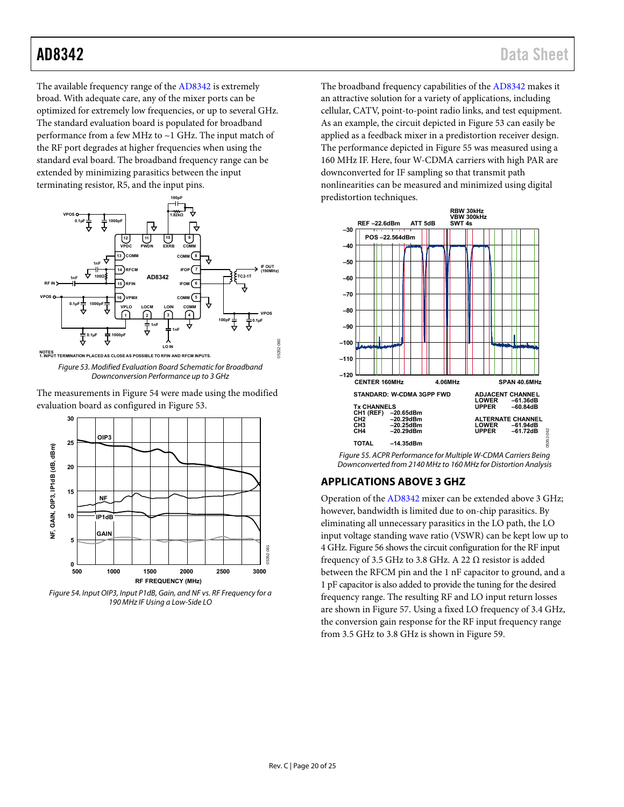The available frequency range of th[e AD8342](http://www.analog.com/AD8342?doc=AD8342.pdf) is extremely broad. With adequate care, any of the mixer ports can be optimized for extremely low frequencies, or up to several GHz. The standard evaluation board is populated for broadband performance from a few MHz to ~1 GHz. The input match of the RF port degrades at higher frequencies when using the standard eval board. The broadband frequency range can be extended by minimizing parasitics between the input terminating resistor, R5, and the input pins.



<span id="page-19-2"></span>Figure 53. Modified Evaluation Board Schematic for Broadband Downconversion Performance up to 3 GHz

The measurements in [Figure 54 w](#page-19-1)ere made using the modified evaluation board as configured i[n Figure 53.](#page-19-2)



<span id="page-19-1"></span>Figure 54. Input OIP3, Input P1dB, Gain, and NF vs. RF Frequency for a 190 MHz IF Using a Low-Side LO

The broadband frequency capabilities of the [AD8342 m](http://www.analog.com/AD8342?doc=AD8342.pdf)akes it an attractive solution for a variety of applications, including cellular, CATV, point-to-point radio links, and test equipment. As an example, the circuit depicted i[n Figure 53](#page-19-2) can easily be applied as a feedback mixer in a predistortion receiver design. The performance depicted i[n Figure 55](#page-19-3) was measured using a 160 MHz IF. Here, four W-CDMA carriers with high PAR are downconverted for IF sampling so that transmit path nonlinearities can be measured and minimized using digital predistortion techniques.



<span id="page-19-3"></span>Figure 55. ACPR Performance for Multiple W-CDMA Carriers Being Downconverted from 2140 MHz to 160 MHz for Distortion Analysis

## <span id="page-19-0"></span>**APPLICATIONS ABOVE 3 GHZ**

Operation of th[e AD8342](http://www.analog.com/AD8342?doc=AD8342.pdf) mixer can be extended above 3 GHz; however, bandwidth is limited due to on-chip parasitics. By eliminating all unnecessary parasitics in the LO path, the LO input voltage standing wave ratio (VSWR) can be kept low up to 4 GHz[. Figure 56 s](#page-20-1)hows the circuit configuration for the RF input frequency of 3.5 GHz to 3.8 GHz. A 22  $\Omega$  resistor is added between the RFCM pin and the 1 nF capacitor to ground, and a 1 pF capacitor is also added to provide the tuning for the desired frequency range. The resulting RF and LO input return losses are shown i[n Figure 57.](#page-20-2) Using a fixed LO frequency of 3.4 GHz, the conversion gain response for the RF input frequency range from 3.5 GHz to 3.8 GHz is shown in [Figure 59.](#page-20-3)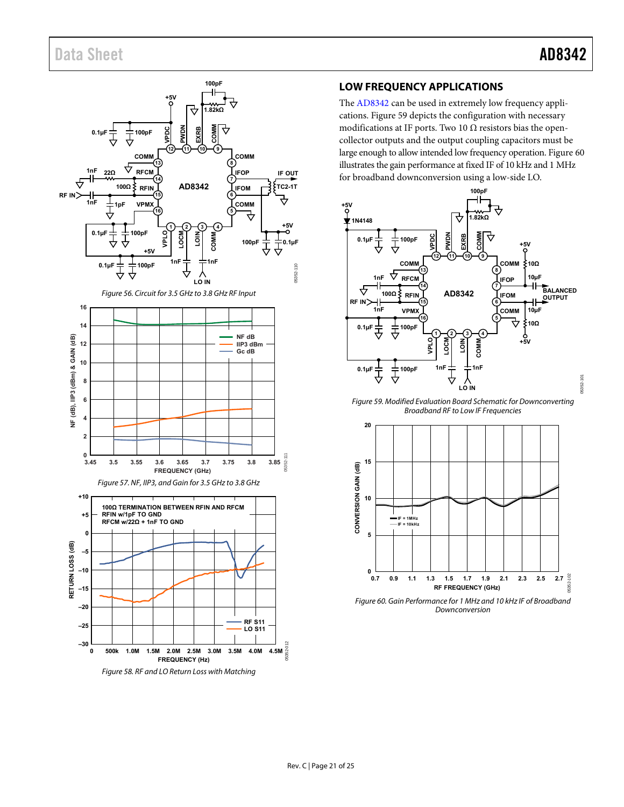<span id="page-20-1"></span>

<span id="page-20-2"></span>Figure 58. RF and LO Return Loss with Matching

## <span id="page-20-0"></span>**LOW FREQUENCY APPLICATIONS**

The [AD8342](http://www.analog.com/AD8342?doc=AD8342.pdf) can be used in extremely low frequency applications. [Figure 59 d](#page-20-3)epicts the configuration with necessary modifications at IF ports. Two 10  $\Omega$  resistors bias the opencollector outputs and the output coupling capacitors must be large enough to allow intended low frequency operation[. Figure 60](#page-20-4)  illustrates the gain performance at fixed IF of 10 kHz and 1 MHz for broadband downconversion using a low-side LO.



<span id="page-20-3"></span>Figure 59. Modified Evaluation Board Schematic for Downconverting Broadband RF to Low IF Frequencies



<span id="page-20-4"></span>Figure 60. Gain Performance for 1 MHz and 10 kHz IF of Broadband Downconversion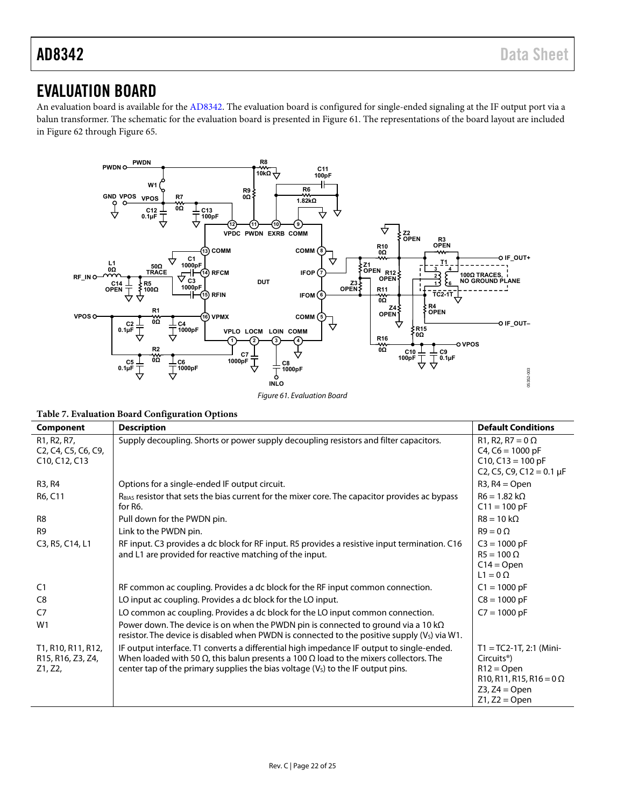## <span id="page-21-0"></span>EVALUATION BOARD

An evaluation board is available for th[e AD8342.](http://www.analog.com/AD8342?doc=AD8342.pdf) The evaluation board is configured for single-ended signaling at the IF output port via a balun transformer. The schematic for the evaluation board is presented i[n Figure 61.](#page-21-1) The representations of the board layout are included in [Figure 62 t](#page-22-0)hroug[h Figure 65.](#page-23-0)



## <span id="page-21-1"></span>**Table 7. Evaluation Board Configuration Options**

| Component                                                                                                                                                                                         | <b>Description</b>                                                                                                                                                                                                                                                                     | <b>Default Conditions</b>                                                                                                                              |
|---------------------------------------------------------------------------------------------------------------------------------------------------------------------------------------------------|----------------------------------------------------------------------------------------------------------------------------------------------------------------------------------------------------------------------------------------------------------------------------------------|--------------------------------------------------------------------------------------------------------------------------------------------------------|
| R <sub>1</sub> , R <sub>2</sub> , R <sub>7</sub> ,<br>C <sub>2</sub> , C <sub>4</sub> , C <sub>5</sub> , C <sub>6</sub> , C <sub>9</sub> ,<br>C <sub>10</sub> , C <sub>12</sub> , C <sub>13</sub> | Supply decoupling. Shorts or power supply decoupling resistors and filter capacitors.                                                                                                                                                                                                  | R1, R2, R7 = $0 \Omega$<br>$C4$ , $C6 = 1000$ pF<br>$C10, C13 = 100$ pF<br>C <sub>2</sub> , C <sub>5</sub> , C <sub>9</sub> , C <sub>12</sub> = 0.1 µF |
| R3, R4                                                                                                                                                                                            | Options for a single-ended IF output circuit.                                                                                                                                                                                                                                          | $R3, R4 = Open$                                                                                                                                        |
| R6, C11                                                                                                                                                                                           | $RBIAS$ resistor that sets the bias current for the mixer core. The capacitor provides ac bypass<br>for R6.                                                                                                                                                                            | $R6 = 1.82 k\Omega$<br>$C11 = 100 pF$                                                                                                                  |
| R <sub>8</sub>                                                                                                                                                                                    | Pull down for the PWDN pin.                                                                                                                                                                                                                                                            | $R8 = 10 k\Omega$                                                                                                                                      |
| R <sub>9</sub>                                                                                                                                                                                    | Link to the PWDN pin.                                                                                                                                                                                                                                                                  | $R9 = 0 \Omega$                                                                                                                                        |
| C3, R5, C14, L1                                                                                                                                                                                   | RF input. C3 provides a dc block for RF input. R5 provides a resistive input termination. C16<br>and L1 are provided for reactive matching of the input.                                                                                                                               | $C3 = 1000 pF$<br>$R5 = 100 \Omega$<br>$C14 = Open$<br>$L1 = 0 \Omega$                                                                                 |
| C <sub>1</sub>                                                                                                                                                                                    | RF common ac coupling. Provides a dc block for the RF input common connection.                                                                                                                                                                                                         | $C1 = 1000 pF$                                                                                                                                         |
| C <sub>8</sub>                                                                                                                                                                                    | LO input ac coupling. Provides a dc block for the LO input.                                                                                                                                                                                                                            | $C8 = 1000 pF$                                                                                                                                         |
| C7                                                                                                                                                                                                | LO common ac coupling. Provides a dc block for the LO input common connection.                                                                                                                                                                                                         | $C7 = 1000 pF$                                                                                                                                         |
| W1                                                                                                                                                                                                | Power down. The device is on when the PWDN pin is connected to ground via a 10 k $\Omega$<br>resistor. The device is disabled when PWDN is connected to the positive supply (V <sub>s</sub> ) via W1.                                                                                  |                                                                                                                                                        |
| T1, R10, R11, R12,<br>R15, R16, Z3, Z4,<br>Z1, Z2,                                                                                                                                                | IF output interface. T1 converts a differential high impedance IF output to single-ended.<br>When loaded with 50 $\Omega$ , this balun presents a 100 $\Omega$ load to the mixers collectors. The<br>center tap of the primary supplies the bias voltage $(Vs)$ to the IF output pins. | $T1 = TC2-1T, 2:1$ (Mini-<br>Circuits <sup>®</sup><br>$R12 = Open$<br>$R10, R11, R15, R16 = 0 \Omega$<br>$Z3$ , $Z4 =$ Open<br>$Z1, Z2 = Open$         |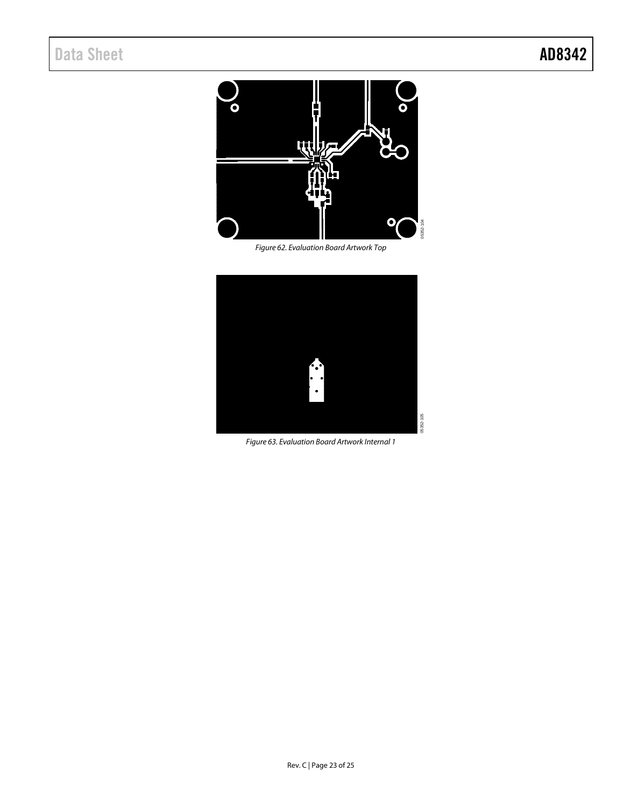

*Figure 62. Evaluation Board Artwork Top*

<span id="page-22-1"></span><span id="page-22-0"></span>

*Figure 63. Evaluation Board Artwork Internal 1*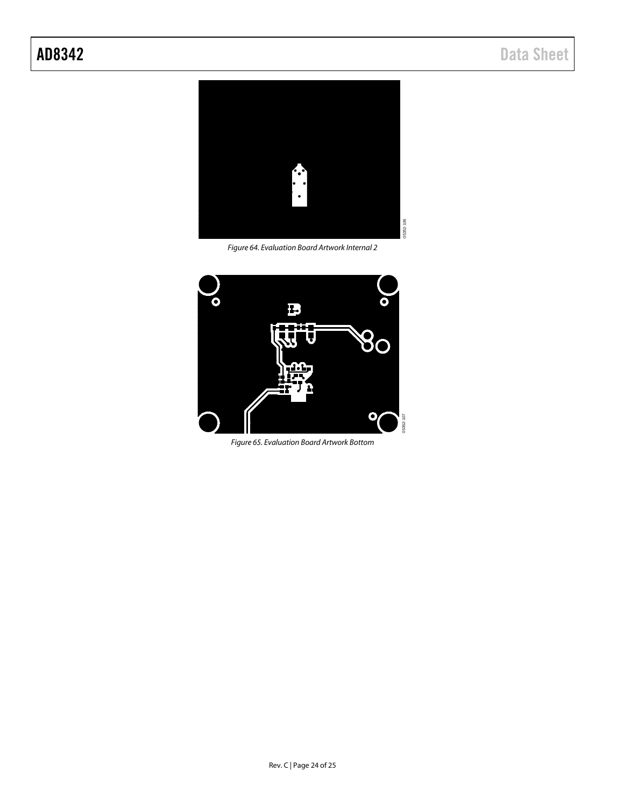

*Figure 64. Evaluation Board Artwork Internal 2*

05352-106



<span id="page-23-0"></span>*Figure 65. Evaluation Board Artwork Bottom*